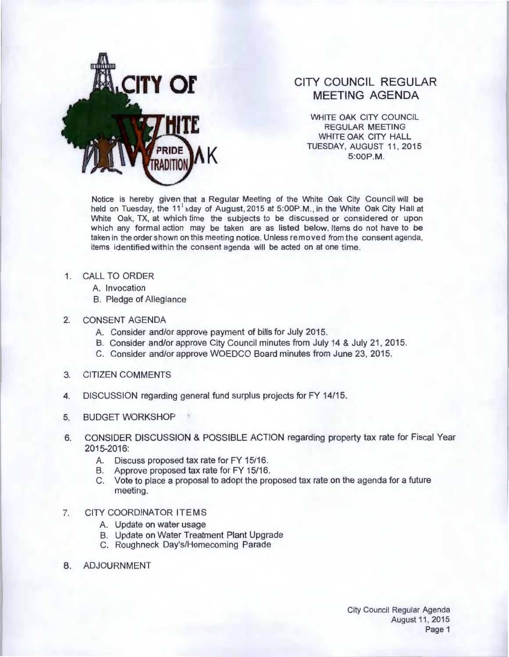

## **CITY COUNCIL REGULAR MEETING AGENDA**

WHITE OAK CITY COUNCIL REGULAR MEETING WHITE OAK CITY HALL TUESDAY, AUGUST 11, 2015<br>5:00P.M.

Notice is hereby given that a Regular Meeting of the White Oak City Council will be held on Tuesday, the 11<sup>1</sup> hday of August, 2015 at 5:00P.M., in the White Oak City Hall at White Oak, TX, at which time the subjects to be discussed or considered or upon which any formal action may be taken are as listed below. Items do not have to be taken in the order shown on this meeting notice. Unless removed from the consent agenda, items identified within the consent agenda will be acted on at one time.

## 1. CALL TO ORDER

- A. Invocation
- B. Pledge of Allegiance

## 2. CONSENT AGENDA

- A. Consider and/or approve payment of bills for July 2015.
- B. Consider and/or approve City Council minutes from July 14 & July 21, 2015.
- C. Consider and/or approve WOEDCO Board minutes from June 23, 2015.
- 3. CITIZEN COMMENTS
- 4. DISCUSSION regarding general fund surplus projects for FY 14/15.
- 5. BUDGET WORKSHOP
- 6. CONSIDER DISCUSSION & POSSIBLE ACTION regarding property tax rate for Fiscal Year 2015-2016:
	- A. Discuss proposed tax rate for FY 15/16.
	- B. Approve proposed tax rate for FY 15/16.
	- C. Vote to place a proposal to adopt the proposed tax rate on the agenda for a future meeting.

## 7. CITY COORDINATOR ITEMS

- A. Update on water usage
- B. Update on Water Treatment Plant Upgrade
- C. Roughneck Day's/Homecoming Parade
- 8. ADJOURNMENT